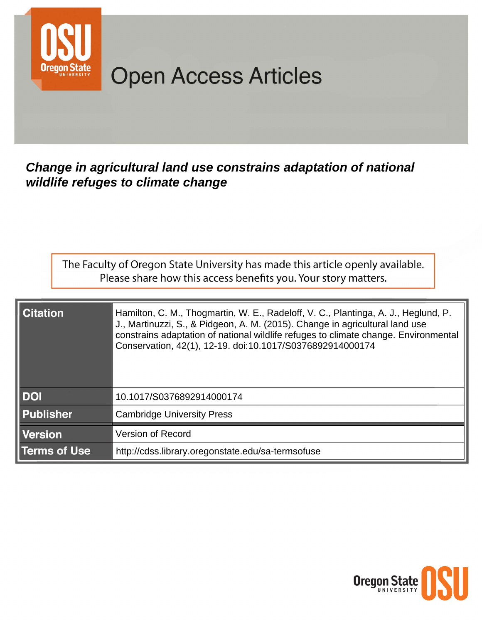

# **Open Access Articles**

## Change in agricultural land use constrains adaptation of national wildlife refuges to climate change

The Faculty of Oregon State University has made this article openly available. Please share how this access benefits you. Your story matters.

| <b>Citation</b>     | Hamilton, C. M., Thogmartin, W. E., Radeloff, V. C., Plantinga, A. J., Heglund, P.<br>J., Martinuzzi, S., & Pidgeon, A. M. (2015). Change in agricultural land use<br>constrains adaptation of national wildlife refuges to climate change. Environmental<br>Conservation, 42(1), 12-19. doi:10.1017/S0376892914000174 |  |  |  |  |
|---------------------|------------------------------------------------------------------------------------------------------------------------------------------------------------------------------------------------------------------------------------------------------------------------------------------------------------------------|--|--|--|--|
| <b>DOI</b>          | 10.1017/S0376892914000174                                                                                                                                                                                                                                                                                              |  |  |  |  |
| <b>Publisher</b>    | <b>Cambridge University Press</b>                                                                                                                                                                                                                                                                                      |  |  |  |  |
| <b>Version</b>      | <b>Version of Record</b>                                                                                                                                                                                                                                                                                               |  |  |  |  |
| <b>Terms of Use</b> | http://cdss.library.oregonstate.edu/sa-termsofuse                                                                                                                                                                                                                                                                      |  |  |  |  |

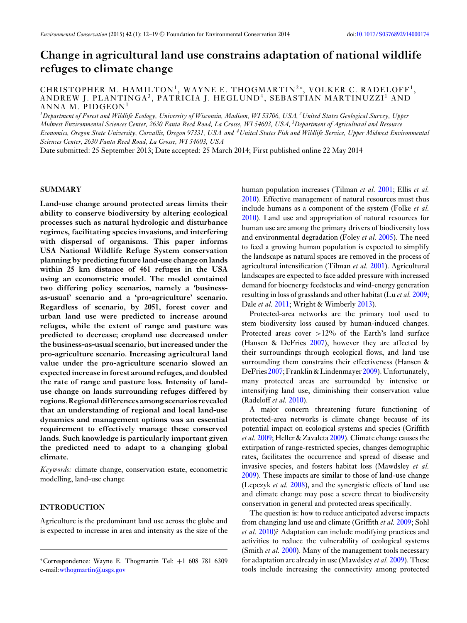### **Change in agricultural land use constrains adaptation of national wildlife refuges to climate change**

CHRISTOPHER M. HAMILTON<sup>1</sup>, WAYNE E. THOGMARTIN<sup>2</sup>\*, VOLKER C. RADELOFF<sup>1</sup>, ANDREW J. PLANTINGA<sup>3</sup>, PATRICIA J. HEGLUND<sup>4</sup>, SEBASTIAN MARTINUZZI<sup>1</sup> AND ANNA M. PIDGEON<sup>1</sup>

*1Department of Forest and Wildlife Ecology, University of Wisconsin, Madison, WI 53706, USA, 2United States Geological Survey, Upper Midwest Environmental Sciences Center, 2630 Fanta Reed Road, La Crosse, WI 54603, USA, 3Department of Agricultural and Resource Economics, Oregon State University, Corvallis, Oregon 97331, USA and 4United States Fish and Wildlife Service, Upper Midwest Environmental Sciences Center, 2630 Fanta Reed Road, La Crosse, WI 54603, USA*

Date submitted: 25 September 2013; Date accepted: 25 March 2014; First published online 22 May 2014

#### **SUMMARY**

**Land-use change around protected areas limits their ability to conserve biodiversity by altering ecological processes such as natural hydrologic and disturbance regimes, facilitating species invasions, and interfering with dispersal of organisms. This paper informs USA National Wildlife Refuge System conservation planning by predicting future land-use change on lands within 25 km distance of 461 refuges in the USA using an econometric model. The model contained two differing policy scenarios, namely a 'businessas-usual' scenario and a 'pro-agriculture' scenario. Regardless of scenario, by 2051, forest cover and urban land use were predicted to increase around refuges, while the extent of range and pasture was predicted to decrease; cropland use decreased under the business-as-usual scenario, but increased under the pro-agriculture scenario. Increasing agricultural land value under the pro-agriculture scenario slowed an expected increase in forest around refuges, and doubled the rate of range and pasture loss. Intensity of landuse change on lands surrounding refuges differed by regions. Regional differences among scenarios revealed that an understanding of regional and local land-use dynamics and management options was an essential requirement to effectively manage these conserved lands. Such knowledge is particularly important given the predicted need to adapt to a changing global climate.**

*Keywords:* climate change, conservation estate, econometric modelling, land-use change

#### **INTRODUCTION**

Agriculture is the predominant land use across the globe and is expected to increase in area and intensity as the size of the human population increases (Tilman *et al.* [2001;](#page-8-0) Ellis *et al.* [2010\)](#page-7-0). Effective management of natural resources must thus include humans as a component of the system (Folke *et al.* [2010\)](#page-7-0). Land use and appropriation of natural resources for human use are among the primary drivers of biodiversity loss and environmental degradation (Foley *et al.* [2005\)](#page-7-0). The need to feed a growing human population is expected to simplify the landscape as natural spaces are removed in the process of agricultural intensification (Tilman *et al.* [2001\)](#page-8-0). Agricultural landscapes are expected to face added pressure with increased demand for bioenergy feedstocks and wind-energy generation resulting in loss of grasslands and other habitat (Lu *et al.* [2009;](#page-7-0) Dale *et al.* [2011;](#page-7-0) Wright & Wimberly [2013\)](#page-8-0).

Protected-area networks are the primary tool used to stem biodiversity loss caused by human-induced changes. Protected areas cover >12% of the Earth's land surface (Hansen & DeFries [2007\)](#page-7-0), however they are affected by their surroundings through ecological flows, and land use surrounding them constrains their effectiveness (Hansen & DeFries [2007;](#page-7-0) Franklin & Lindenmayer [2009\)](#page-7-0). Unfortunately, many protected areas are surrounded by intensive or intensifying land use, diminishing their conservation value (Radeloff *et al.* [2010\)](#page-8-0).

A major concern threatening future functioning of protected-area networks is climate change because of its potential impact on ecological systems and species (Griffith *et al.* [2009;](#page-7-0) Heller & Zavaleta [2009\)](#page-7-0). Climate change causes the extirpation of range-restricted species, changes demographic rates, facilitates the occurrence and spread of disease and invasive species, and fosters habitat loss (Mawdsley *et al.* [2009\)](#page-8-0). These impacts are similar to those of land-use change (Lepczyk *et al.* [2008\)](#page-7-0), and the synergistic effects of land use and climate change may pose a severe threat to biodiversity conservation in general and protected areas specifically.

The question is: how to reduce anticipated adverse impacts from changing land use and climate (Griffith *et al.* [2009;](#page-7-0) Sohl *et al.* [2010\)](#page-8-0)? Adaptation can include modifying practices and activities to reduce the vulnerability of ecological systems (Smith *et al.* [2000\)](#page-8-0). Many of the management tools necessary for adaptation are already in use (Mawdsley *et al.* [2009\)](#page-8-0). These tools include increasing the connectivity among protected

<sup>∗</sup>Correspondence: Wayne E. Thogmartin Tel: +1 608 781 6309 e-mail[:wthogmartin@usgs.gov](mailto:wthogmartin@usgs.gov)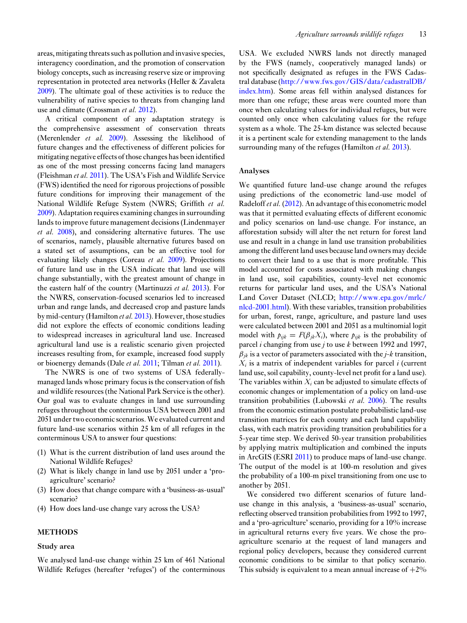areas, mitigating threats such as pollution and invasive species, interagency coordination, and the promotion of conservation biology concepts, such as increasing reserve size or improving representation in protected area networks (Heller & Zavaleta [2009\)](#page-7-0). The ultimate goal of these activities is to reduce the vulnerability of native species to threats from changing land use and climate (Crossman *et al.* [2012\)](#page-7-0).

A critical component of any adaptation strategy is the comprehensive assessment of conservation threats (Merenlender *et al.* [2009\)](#page-8-0). Assessing the likelihood of future changes and the effectiveness of different policies for mitigating negative effects of those changes has been identified as one of the most pressing concerns facing land managers (Fleishman *et al.* [2011\)](#page-7-0). The USA's Fish and Wildlife Service (FWS) identified the need for rigorous projections of possible future conditions for improving their management of the National Wildlife Refuge System (NWRS; Griffith *et al.* [2009\)](#page-7-0). Adaptation requires examining changes in surrounding lands to improve future management decisions (Lindenmayer *et al.* [2008\)](#page-7-0), and considering alternative futures. The use of scenarios, namely, plausible alternative futures based on a stated set of assumptions, can be an effective tool for evaluating likely changes (Coreau *et al.* [2009\)](#page-7-0). Projections of future land use in the USA indicate that land use will change substantially, with the greatest amount of change in the eastern half of the country (Martinuzzi *et al.* [2013\)](#page-8-0). For the NWRS, conservation-focused scenarios led to increased urban and range lands, and decreased crop and pasture lands by mid-century (Hamilton *et al.* [2013\)](#page-7-0). However, those studies did not explore the effects of economic conditions leading to widespread increases in agricultural land use. Increased agricultural land use is a realistic scenario given projected increases resulting from, for example, increased food supply or bioenergy demands (Dale *et al.* [2011;](#page-7-0) Tilman *et al.* [2011\)](#page-8-0).

The NWRS is one of two systems of USA federallymanaged lands whose primary focus is the conservation of fish and wildlife resources (the National Park Service is the other). Our goal was to evaluate changes in land use surrounding refuges throughout the conterminous USA between 2001 and 2051 under two economic scenarios. We evaluated current and future land-use scenarios within 25 km of all refuges in the conterminous USA to answer four questions:

- (1) What is the current distribution of land uses around the National Wildlife Refuges?
- (2) What is likely change in land use by 2051 under a 'proagriculture' scenario?
- (3) How does that change compare with a 'business-as-usual' scenario?
- (4) How does land-use change vary across the USA?

#### **METHODS**

#### **Study area**

We analysed land-use change within 25 km of 461 National Wildlife Refuges (hereafter 'refuges') of the conterminous USA. We excluded NWRS lands not directly managed by the FWS (namely, cooperatively managed lands) or not specifically designated as refuges in the FWS Cadastral database [\(http://www.fws.gov/GIS/data/cadastralDB/](http://www.fws.gov/GIS/data/cadastralDB/index.htm) [index.htm\)](http://www.fws.gov/GIS/data/cadastralDB/index.htm). Some areas fell within analysed distances for more than one refuge; these areas were counted more than once when calculating values for individual refuges, but were counted only once when calculating values for the refuge system as a whole. The 25-km distance was selected because it is a pertinent scale for extending management to the lands surrounding many of the refuges (Hamilton *et al.* [2013\)](#page-7-0).

#### **Analyses**

We quantified future land-use change around the refuges using predictions of the econometric land-use model of Radeloff*et al.* [\(2012\)](#page-8-0). An advantage of this econometric model was that it permitted evaluating effects of different economic and policy scenarios on land-use change. For instance, an afforestation subsidy will alter the net return for forest land use and result in a change in land use transition probabilities among the different land uses because land owners may decide to convert their land to a use that is more profitable. This model accounted for costs associated with making changes in land use, soil capabilities, county-level net economic returns for particular land uses, and the USA's National Land Cover Dataset (NLCD; [http://www.epa.gov/mrlc/](http://www.epa.gov/mrlc/nlcd-2001.html) [nlcd-2001.html\)](http://www.epa.gov/mrlc/nlcd-2001.html). With these variables, transition probabilities for urban, forest, range, agriculture, and pasture land uses were calculated between 2001 and 2051 as a multinomial logit model with  $p_{ijk} = F(\beta_{jk}X_i)$ , where  $p_{ijk}$  is the probability of parcel *i* changing from use *j* to use *k* between 1992 and 1997,  $\beta_{ik}$  is a vector of parameters associated with the *j*-k transition,  $X_i$  is a matrix of independent variables for parcel *i* (current land use, soil capability, county-level net profit for a land use). The variables within *Xi* can be adjusted to simulate effects of economic changes or implementation of a policy on land-use transition probabilities (Lubowski *et al.* [2006\)](#page-8-0). The results from the economic estimation postulate probabilistic land-use transition matrices for each county and each land capability class, with each matrix providing transition probabilities for a 5-year time step. We derived 50-year transition probabilities by applying matrix multiplication and combined the inputs in ArcGIS (ESRI [2011\)](#page-7-0) to produce maps of land-use change. The output of the model is at 100-m resolution and gives the probability of a 100-m pixel transitioning from one use to another by 2051.

We considered two different scenarios of future landuse change in this analysis, a 'business-as-usual' scenario, reflecting observed transition probabilities from 1992 to 1997, and a 'pro-agriculture' scenario, providing for a 10% increase in agricultural returns every five years. We chose the proagriculture scenario at the request of land managers and regional policy developers, because they considered current economic conditions to be similar to that policy scenario. This subsidy is equivalent to a mean annual increase of  $+2\%$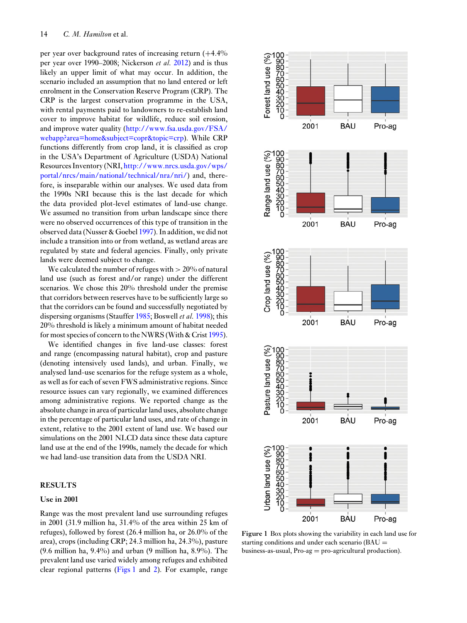<span id="page-3-0"></span>per year over background rates of increasing return (+4.4% per year over 1990–2008; Nickerson *et al.* [2012\)](#page-8-0) and is thus likely an upper limit of what may occur. In addition, the scenario included an assumption that no land entered or left enrolment in the Conservation Reserve Program (CRP). The CRP is the largest conservation programme in the USA, with rental payments paid to landowners to re-establish land cover to improve habitat for wildlife, reduce soil erosion, and improve water quality [\(http://www.fsa.usda.gov/FSA/](http://www.fsa.usda.gov/FSA/webappegingroup count@ "003F
elax 
elax uccode `~count@ uppercase {gdef ?{{char ) [webapp?area=home&subject=copr&topic=crp\)](http://www.fsa.usda.gov/FSA/webappegingroup count@ "003F
elax 
elax uccode `~count@ uppercase {gdef ?{{char ). While CRP functions differently from crop land, it is classified as crop in the USA's Department of Agriculture (USDA) National Resources Inventory (NRI, [http://www.nrcs.usda.gov/wps/](http://www.nrcs.usda.gov/wps/portal/nrcs/main/national/technical/nra/nri/) [portal/nrcs/main/national/technical/nra/nri/\)](http://www.nrcs.usda.gov/wps/portal/nrcs/main/national/technical/nra/nri/) and, therefore, is inseparable within our analyses. We used data from the 1990s NRI because this is the last decade for which the data provided plot-level estimates of land-use change. We assumed no transition from urban landscape since there were no observed occurrences of this type of transition in the observed data (Nusser & Goebel [1997\)](#page-8-0). In addition, we did not include a transition into or from wetland, as wetland areas are regulated by state and federal agencies. Finally, only private lands were deemed subject to change.

We calculated the number of refuges with  $> 20\%$  of natural land use (such as forest and/or range) under the different scenarios. We chose this 20% threshold under the premise that corridors between reserves have to be sufficiently large so that the corridors can be found and successfully negotiated by dispersing organisms (Stauffer [1985;](#page-8-0) Boswell *et al.* [1998\)](#page-7-0); this 20% threshold is likely a minimum amount of habitat needed for most species of concern to the NWRS (With & Crist [1995\)](#page-8-0).

We identified changes in five land-use classes: forest and range (encompassing natural habitat), crop and pasture (denoting intensively used lands), and urban. Finally, we analysed land-use scenarios for the refuge system as a whole, as well as for each of seven FWS administrative regions. Since resource issues can vary regionally, we examined differences among administrative regions. We reported change as the absolute change in area of particular land uses, absolute change in the percentage of particular land uses, and rate of change in extent, relative to the 2001 extent of land use. We based our simulations on the 2001 NLCD data since these data capture land use at the end of the 1990s, namely the decade for which we had land-use transition data from the USDA NRI.

#### **RESULTS**

#### **Use in 2001**

Range was the most prevalent land use surrounding refuges in 2001 (31.9 million ha, 31.4% of the area within 25 km of refuges), followed by forest (26.4 million ha, or 26.0% of the area), crops (including CRP; 24.3 million ha, 24.3%), pasture (9.6 million ha, 9.4%) and urban (9 million ha, 8.9%). The prevalent land use varied widely among refuges and exhibited clear regional patterns (Figs 1 and [2\)](#page-4-0). For example, range



**Figure 1** Box plots showing the variability in each land use for starting conditions and under each scenario  $(BAU =$ business-as-usual,  $Pro-ag = pro-agricultural production$ .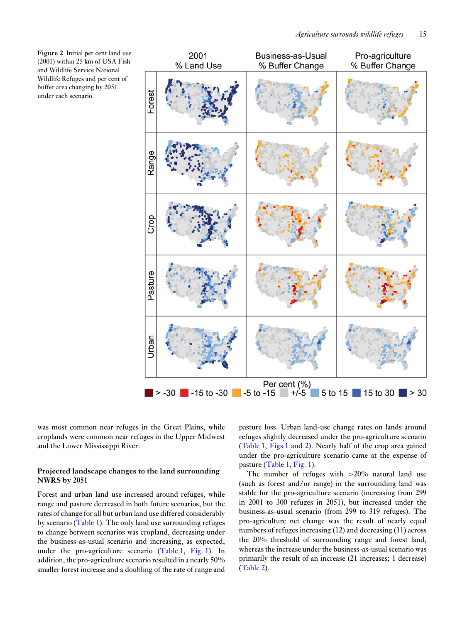<span id="page-4-0"></span>**Figure 2** Initial per cent land use (2001) within 25 km of USA Fish and Wildlife Service National Wildlife Refuges and per cent of buffer area changing by 2051 under each scenario.



was most common near refuges in the Great Plains, while croplands were common near refuges in the Upper Midwest and the Lower Mississippi River.

#### **Projected landscape changes to the land surrounding NWRS by 2051**

Forest and urban land use increased around refuges, while range and pasture decreased in both future scenarios, but the rates of change for all but urban land use differed considerably by scenario [\(Table 1\)](#page-5-0). The only land use surrounding refuges to change between scenarios was cropland, decreasing under the business-as-usual scenario and increasing, as expected, under the pro-agriculture scenario [\(Table 1,](#page-5-0) [Fig. 1\)](#page-3-0). In addition, the pro-agriculture scenario resulted in a nearly 50% smaller forest increase and a doubling of the rate of range and pasture loss. Urban land-use change rates on lands around refuges slightly decreased under the pro-agriculture scenario [\(Table 1,](#page-5-0) [Figs 1](#page-3-0) and 2). Nearly half of the crop area gained under the pro-agriculture scenario came at the expense of pasture [\(Table 1,](#page-5-0) [Fig. 1\)](#page-3-0).

The number of refuges with  $>20\%$  natural land use (such as forest and/or range) in the surrounding land was stable for the pro-agriculture scenario (increasing from 299 in 2001 to 300 refuges in 2051), but increased under the business-as-usual scenario (from 299 to 319 refuges). The pro-agriculture net change was the result of nearly equal numbers of refuges increasing (12) and decreasing (11) across the 20% threshold of surrounding range and forest land, whereas the increase under the business-as-usual scenario was primarily the result of an increase (21 increases; 1 decrease) [\(Table 2\)](#page-5-0).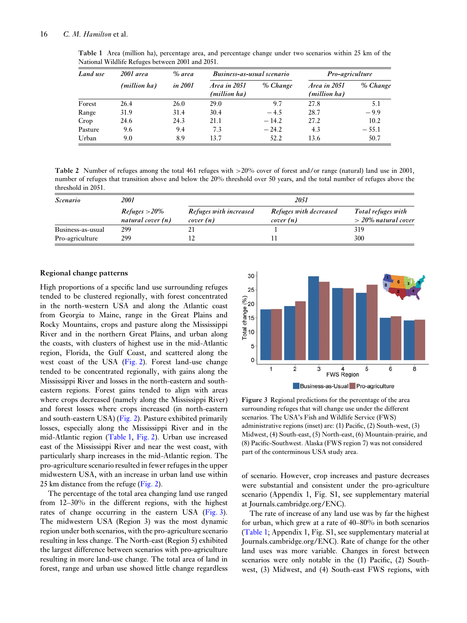| Land use | 2001 area<br>(million ha) | % area<br><i>in 2001</i> | <b>Business-as-usual scenario</b> |          | Pro-agriculture              |          |
|----------|---------------------------|--------------------------|-----------------------------------|----------|------------------------------|----------|
|          |                           |                          | Area in 2051<br>(million ha)      | % Change | Area in 2051<br>(million ha) | % Change |
| Forest   | 26.4                      | 26.0                     | 29.0                              | 9.7      | 27.8                         | 5.1      |
| Range    | 31.9                      | 31.4                     | 30.4                              | $-4.5$   | 28.7                         | $-9.9$   |
| Crop     | 24.6                      | 24.3                     | 21.1                              | $-14.2$  | 27.2                         | 10.2     |
| Pasture  | 9.6                       | 9.4                      | 7.3                               | $-24.2$  | 4.3                          | $-55.1$  |
| Urban    | 9.0                       | 8.9                      | 13.7                              | 52.2     | 13.6                         | 50.7     |

<span id="page-5-0"></span>**Table 1** Area (million ha), percentage area, and percentage change under two scenarios within 25 km of the National Wildlife Refuges between 2001 and 2051.

**Table 2** Number of refuges among the total 461 refuges with >20% cover of forest and/or range (natural) land use in 2001, number of refuges that transition above and below the 20% threshold over 50 years, and the total number of refuges above the threshold in 2051.

| Scenario          | <i>2001</i>                           | 2051                               |                                     |                                             |  |
|-------------------|---------------------------------------|------------------------------------|-------------------------------------|---------------------------------------------|--|
|                   | $Refuges > 20\%$<br>natural cover (n) | Refuges with increased<br>cover(n) | Refuges with decreased<br>cover (n) | Total refuges with<br>$>$ 20% natural cover |  |
| Business-as-usual | 299                                   |                                    |                                     | 319                                         |  |
| Pro-agriculture   | 299                                   |                                    |                                     | 300                                         |  |

#### **Regional change patterns**

High proportions of a specific land use surrounding refuges tended to be clustered regionally, with forest concentrated in the north-western USA and along the Atlantic coast from Georgia to Maine, range in the Great Plains and Rocky Mountains, crops and pasture along the Mississippi River and in the northern Great Plains, and urban along the coasts, with clusters of highest use in the mid-Atlantic region, Florida, the Gulf Coast, and scattered along the west coast of the USA [\(Fig. 2\)](#page-4-0). Forest land-use change tended to be concentrated regionally, with gains along the Mississippi River and losses in the north-eastern and southeastern regions. Forest gains tended to align with areas where crops decreased (namely along the Mississippi River) and forest losses where crops increased (in north-eastern and south-eastern USA) [\(Fig. 2\)](#page-4-0). Pasture exhibited primarily losses, especially along the Mississippi River and in the mid-Atlantic region (Table 1, [Fig. 2\)](#page-4-0). Urban use increased east of the Mississippi River and near the west coast, with particularly sharp increases in the mid-Atlantic region. The pro-agriculture scenario resulted in fewer refuges in the upper midwestern USA, with an increase in urban land use within 25 km distance from the refuge [\(Fig. 2\)](#page-4-0).

The percentage of the total area changing land use ranged from 12–30% in the different regions, with the highest rates of change occurring in the eastern USA (Fig. 3). The midwestern USA (Region 3) was the most dynamic region under both scenarios, with the pro-agriculture scenario resulting in less change. The North-east (Region 5) exhibited the largest difference between scenarios with pro-agriculture resulting in more land-use change. The total area of land in forest, range and urban use showed little change regardless



**Figure 3** Regional predictions for the percentage of the area surrounding refuges that will change use under the different scenarios. The USA's Fish and Wildlife Service (FWS) administrative regions (inset) are: (1) Pacific, (2) South-west, (3) Midwest, (4) South-east, (5) North-east, (6) Mountain-prairie, and (8) Pacific-Southwest. Alaska (FWS region 7) was not considered part of the conterminous USA study area.

of scenario. However, crop increases and pasture decreases were substantial and consistent under the pro-agriculture scenario (Appendix 1, Fig. S1, see supplementary material at Journals.cambridge.org/ENC).

The rate of increase of any land use was by far the highest for urban, which grew at a rate of 40–80% in both scenarios (Table 1; Appendix 1, Fig. S1, see supplementary material at Journals.cambridge.org/ENC). Rate of change for the other land uses was more variable. Changes in forest between scenarios were only notable in the (1) Pacific, (2) Southwest, (3) Midwest, and (4) South-east FWS regions, with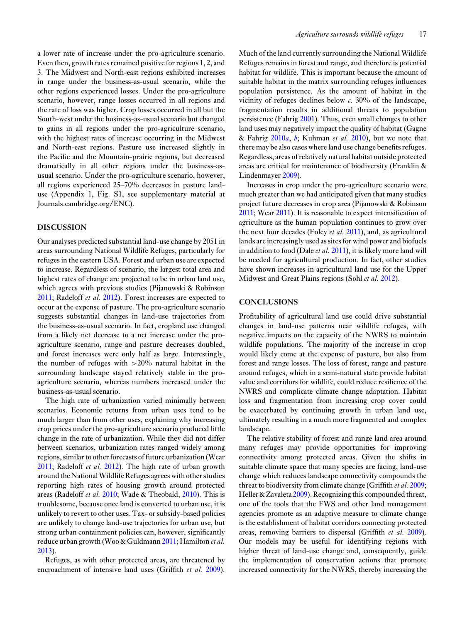a lower rate of increase under the pro-agriculture scenario. Even then, growth rates remained positive for regions 1, 2, and 3. The Midwest and North-east regions exhibited increases in range under the business-as-usual scenario, while the other regions experienced losses. Under the pro-agriculture scenario, however, range losses occurred in all regions and the rate of loss was higher. Crop losses occurred in all but the South-west under the business-as-usual scenario but changed to gains in all regions under the pro-agriculture scenario, with the highest rates of increase occurring in the Midwest and North-east regions. Pasture use increased slightly in the Pacific and the Mountain-prairie regions, but decreased dramatically in all other regions under the business-asusual scenario. Under the pro-agriculture scenario, however, all regions experienced 25–70% decreases in pasture landuse (Appendix 1, Fig. S1, see supplementary material at Journals.cambridge.org/ENC).

#### **DISCUSSION**

Our analyses predicted substantial land-use change by 2051 in areas surrounding National Wildlife Refuges, particularly for refuges in the eastern USA. Forest and urban use are expected to increase. Regardless of scenario, the largest total area and highest rates of change are projected to be in urban land use, which agrees with previous studies (Pijanowski & Robinson [2011;](#page-8-0) Radeloff *et al.* [2012\)](#page-8-0). Forest increases are expected to occur at the expense of pasture. The pro-agriculture scenario suggests substantial changes in land-use trajectories from the business-as-usual scenario. In fact, cropland use changed from a likely net decrease to a net increase under the proagriculture scenario, range and pasture decreases doubled, and forest increases were only half as large. Interestingly, the number of refuges with  $>20\%$  natural habitat in the surrounding landscape stayed relatively stable in the proagriculture scenario, whereas numbers increased under the business-as-usual scenario.

The high rate of urbanization varied minimally between scenarios. Economic returns from urban uses tend to be much larger than from other uses, explaining why increasing crop prices under the pro-agriculture scenario produced little change in the rate of urbanization. While they did not differ between scenarios, urbanization rates ranged widely among regions, similar to other forecasts of future urbanization (Wear [2011;](#page-8-0) Radeloff *et al.* [2012\)](#page-8-0). The high rate of urban growth around the National Wildlife Refuges agrees with other studies reporting high rates of housing growth around protected areas (Radeloff *et al.* [2010;](#page-8-0) Wade & Theobald, [2010\)](#page-8-0). This is troublesome, because once land is converted to urban use, it is unlikely to revert to other uses. Tax- or subsidy-based policies are unlikely to change land-use trajectories for urban use, but strong urban containment policies can, however, significantly reduce urban growth (Woo & Guldmann [2011;](#page-8-0) Hamilton *et al.* [2013\)](#page-7-0).

Refuges, as with other protected areas, are threatened by encroachment of intensive land uses (Griffith *et al.* [2009\)](#page-7-0). Much of the land currently surrounding the National Wildlife Refuges remains in forest and range, and therefore is potential habitat for wildlife. This is important because the amount of suitable habitat in the matrix surrounding refuges influences population persistence. As the amount of habitat in the vicinity of refuges declines below  $c$ . 30% of the landscape, fragmentation results in additional threats to population persistence (Fahrig [2001\)](#page-7-0). Thus, even small changes to other land uses may negatively impact the quality of habitat (Gagne & Fahrig [2010](#page-7-0)*a*, *[b](#page-7-0)*; Kuhman *et al.* [2010\)](#page-7-0), but we note that there may be also cases where land use change benefits refuges. Regardless, areas of relatively natural habitat outside protected areas are critical for maintenance of biodiversity (Franklin & Lindenmayer [2009\)](#page-7-0).

Increases in crop under the pro-agriculture scenario were much greater than we had anticipated given that many studies project future decreases in crop area (Pijanowski & Robinson [2011;](#page-8-0) Wear [2011\)](#page-8-0). It is reasonable to expect intensification of agriculture as the human population continues to grow over the next four decades (Foley *et al.* [2011\)](#page-7-0), and, as agricultural lands are increasingly used as sites for wind power and biofuels in addition to food (Dale *et al.* [2011\)](#page-7-0), it is likely more land will be needed for agricultural production. In fact, other studies have shown increases in agricultural land use for the Upper Midwest and Great Plains regions (Sohl *et al.* [2012\)](#page-8-0).

#### **CONCLUSIONS**

Profitability of agricultural land use could drive substantial changes in land-use patterns near wildlife refuges, with negative impacts on the capacity of the NWRS to maintain wildlife populations. The majority of the increase in crop would likely come at the expense of pasture, but also from forest and range losses. The loss of forest, range and pasture around refuges, which in a semi-natural state provide habitat value and corridors for wildlife, could reduce resilience of the NWRS and complicate climate change adaptation. Habitat loss and fragmentation from increasing crop cover could be exacerbated by continuing growth in urban land use, ultimately resulting in a much more fragmented and complex landscape.

The relative stability of forest and range land area around many refuges may provide opportunities for improving connectivity among protected areas. Given the shifts in suitable climate space that many species are facing, land-use change which reduces landscape connectivity compounds the threat to biodiversity from climate change (Griffith *et al.* [2009;](#page-7-0) Heller & Zavaleta [2009\)](#page-7-0). Recognizing this compounded threat, one of the tools that the FWS and other land management agencies promote as an adaptive measure to climate change is the establishment of habitat corridors connecting protected areas, removing barriers to dispersal (Griffith *et al.* [2009\)](#page-7-0). Our models may be useful for identifying regions with higher threat of land-use change and, consequently, guide the implementation of conservation actions that promote increased connectivity for the NWRS, thereby increasing the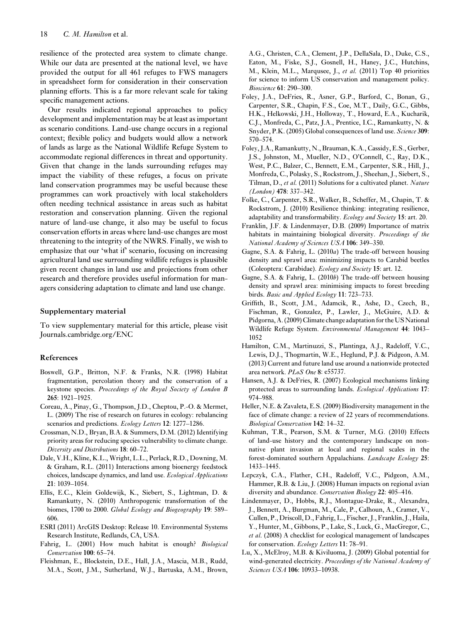<span id="page-7-0"></span>resilience of the protected area system to climate change. While our data are presented at the national level, we have provided the output for all 461 refuges to FWS managers in spreadsheet form for consideration in their conservation planning efforts. This is a far more relevant scale for taking specific management actions.

Our results indicated regional approaches to policy development and implementation may be at least as important as scenario conditions. Land-use change occurs in a regional context; flexible policy and budgets would allow a network of lands as large as the National Wildlife Refuge System to accommodate regional differences in threat and opportunity. Given that change in the lands surrounding refuges may impact the viability of these refuges, a focus on private land conservation programmes may be useful because these programmes can work proactively with local stakeholders often needing technical assistance in areas such as habitat restoration and conservation planning. Given the regional nature of land-use change, it also may be useful to focus conservation efforts in areas where land-use changes are most threatening to the integrity of the NWRS. Finally, we wish to emphasize that our 'what if' scenario, focusing on increasing agricultural land use surrounding wildlife refuges is plausible given recent changes in land use and projections from other research and therefore provides useful information for managers considering adaptation to climate and land use change.

#### **Supplementary material**

To view supplementary material for this article, please visit Journals.cambridge.org/ENC

#### **References**

- Boswell, G.P., Britton, N.F. & Franks, N.R. (1998) Habitat fragmentation, percolation theory and the conservation of a keystone species. *Proceedings of the Royal Society of London B* **265**: 1921–1925.
- Coreau, A., Pinay, G., Thompson, J.D., Cheptou, P.-O. & Mermet, L. (2009) The rise of research on futures in ecology: rebalancing scenarios and predictions. *Ecology Letters* **12**: 1277–1286.
- Crossman, N.D., Bryan, B.A. & Summers, D.M. (2012) Identifying priority areas for reducing species vulnerability to climate change. *Diversity and Distributions* **18**: 60–72.
- Dale, V.H., Kline, K.L., Wright, L.L., Perlack, R.D., Downing, M. & Graham, R.L. (2011) Interactions among bioenergy feedstock choices, landscape dynamics, and land use. *Ecological Applications* **21**: 1039–1054.
- Ellis, E.C., Klein Goldewijk, K., Siebert, S., Lightman, D. & Ramankutty, N. (2010) Anthropogenic transformation of the biomes, 1700 to 2000. *Global Ecology and Biogeography* **19**: 589– 606.
- ESRI (2011) ArcGIS Desktop: Release 10. Environmental Systems Research Institute, Redlands, CA, USA.
- Fahrig, L. (2001) How much habitat is enough? *Biological Conservation* **100**: 65–74.
- Fleishman, E., Blockstein, D.E., Hall, J.A., Mascia, M.B., Rudd, M.A., Scott, J.M., Sutherland, W.J., Bartuska, A.M., Brown,

A.G., Christen, C.A., Clement, J.P., DellaSala, D., Duke, C.S., Eaton, M., Fiske, S.J., Gosnell, H., Haney, J.C., Hutchins, M., Klein, M.L., Marqusee, J., *et al.* (2011) Top 40 priorities for science to inform US conservation and management policy. *Bioscience* **61**: 290–300.

- Foley, J.A., DeFries, R., Asner, G.P., Barford, C., Bonan, G., Carpenter, S.R., Chapin, F.S., Coe, M.T., Daily, G.C., Gibbs, H.K., Helkowski, J.H., Holloway, T., Howard, E.A., Kucharik, C.J., Monfreda, C., Patz, J.A., Prentice, I.C., Ramankutty, N. & Snyder, P.K. (2005) Global consequences of land use. *Science* **309**: 570–574.
- Foley, J.A., Ramankutty, N., Brauman, K.A., Cassidy, E.S., Gerber, J.S., Johnston, M., Mueller, N.D., O'Connell, C., Ray, D.K., West, P.C., Balzer, C., Bennett, E.M., Carpenter, S.R., Hill, J., Monfreda, C., Polasky, S., Rockstrom, J., Sheehan, J., Siebert, S., Tilman, D., *et al.* (2011) Solutions for a cultivated planet. *Nature (London)* **478**: 337–342.
- Folke, C., Carpenter, S.R., Walker, B., Scheffer, M., Chapin, T. & Rockstrom, J. (2010) Resilience thinking: integrating resilience, adaptability and transformability. *Ecology and Society* **15**: art. 20.
- Franklin, J.F. & Lindenmayer, D.B. (2009) Importance of matrix habitats in maintaining biological diversity. *Proceedings of the National Academy of Sciences USA* **106**: 349–350.
- Gagne, S.A. & Fahrig, L. (2010*a*) The trade-off between housing density and sprawl area: minimizing impacts to Carabid beetles (Coleoptera: Carabidae). *Ecology and Society* **15**: art. 12.
- Gagne, S.A. & Fahrig, L. (2010*b*) The trade-off between housing density and sprawl area: minimising impacts to forest breeding birds. *Basic and Applied Ecology* **11**: 723–733.
- Griffith, B., Scott, J.M., Adamcik, R., Ashe, D., Czech, B., Fischman, R., Gonzalez, P., Lawler, J., McGuire, A.D. & Pidgorna, A. (2009) Climate change adaptation for the US National Wildlife Refuge System. *Environmental Management* **44**: 1043– 1052
- Hamilton, C.M., Martinuzzi, S., Plantinga, A.J., Radeloff, V.C., Lewis, D.J., Thogmartin, W.E., Heglund, P.J. & Pidgeon, A.M. (2013) Current and future land use around a nationwide protected area network. *PLoS One* **8**: e55737.
- Hansen, A.J. & DeFries, R. (2007) Ecological mechanisms linking protected areas to surrounding lands. *Ecological Applications* **17**: 974–988.
- Heller, N.E. & Zavaleta, E.S. (2009) Biodiversity management in the face of climate change: a review of 22 years of recommendations. *Biological Conservation* **142**: 14–32.
- Kuhman, T.R., Pearson, S.M. & Turner, M.G. (2010) Effects of land-use history and the contemporary landscape on nonnative plant invasion at local and regional scales in the forest-dominated southern Appalachians. *Landscape Ecology* **25**: 1433–1445.
- Lepczyk, C.A., Flather, C.H., Radeloff, V.C., Pidgeon, A.M., Hammer, R.B. & Liu, J. (2008) Human impacts on regional avian diversity and abundance. *Conservation Biology* **22**: 405–416.
- Lindenmayer, D., Hobbs, R.J., Montague-Drake, R., Alexandra, J., Bennett, A., Burgman, M., Cale, P., Calhoun, A., Cramer, V., Cullen, P., Driscoll, D., Fahrig, L., Fischer, J., Franklin, J., Haila, Y., Hunter, M., Gibbons, P., Lake, S., Luck, G., MacGregor, C., *et al.* (2008) A checklist for ecological management of landscapes for conservation. *Ecology Letters* **11**: 78–91.
- Lu, X., McElroy, M.B. & Kiviluoma, J. (2009) Global potential for wind-generated electricity. *Proceedings of the National Academy of Sciences USA* **106**: 10933–10938.